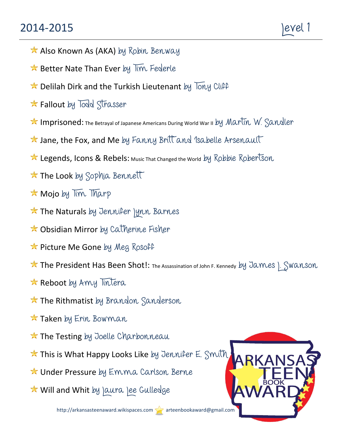## 2014-2015 | Nevel 1

- Also Known As (AKA) by Robin Benway
- $\star$  Better Nate Than Ever by  $\overline{lim}$  Federle
- $\star$  Delilah Dirk and the Turkish Lieutenant by Tony Cliff
- $\star$  Fallout by Todd Strasser
- Imprisoned: The Betrayal of Japanese Americans During World War II by Martin W. Sandler
- $\star$  Jane, the Fox, and Me by Fanny Britt and Isabelle Arsenault
- ★ Legends, Icons & Rebels: Music That Changed the World by Robbie Robertson
- **The Look** by Sophia Bennett
- **Mojo** by Tim Tharp
- $\star$  The Naturals by Jennifer Jynn Barnes
- **★ Obsidian Mirror** by Catherine Fisher
- ★ Picture Me Gone by Meg Rosoff
- ★ The President Has Been Shot!: The Assassination of John F. Kennedy by James | Swanson
- $\star$  Reboot by Amy Tintera
- **The Rithmatist** by Brandon Sanderson
- $\star$  Taken by Erin Bowman
- **The Testing** by Joelle Charbonneau
- ★ This is What Happy Looks Like by Jennifer E. Smith
- **★ Under Pressure** by Emma Carlson Berne
- **★ Will and Whit** by Jaura Jee Gulledge

http://arkansasteenaward.wikispaces.com arteenbookaward@gmail.com